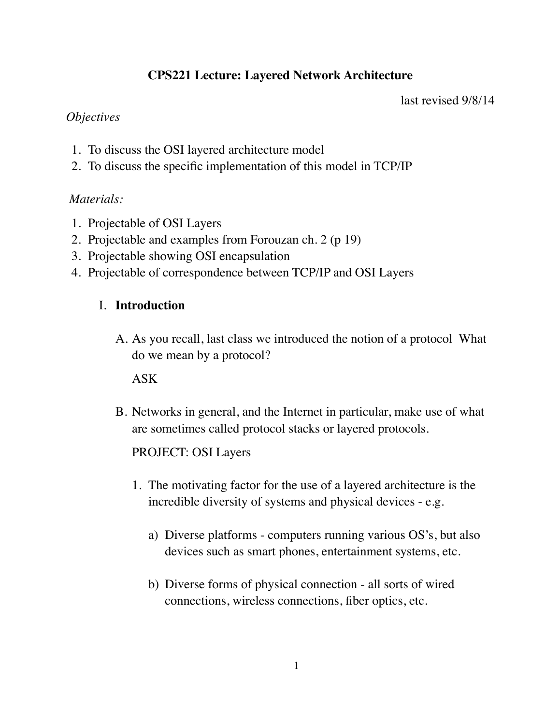# **CPS221 Lecture: Layered Network Architecture**

last revised 9/8/14

## *Objectives*

- 1. To discuss the OSI layered architecture model
- 2. To discuss the specific implementation of this model in TCP/IP

### *Materials:*

- 1. Projectable of OSI Layers
- 2. Projectable and examples from Forouzan ch. 2 (p 19)
- 3. Projectable showing OSI encapsulation
- 4. Projectable of correspondence between TCP/IP and OSI Layers

### I. **Introduction**

A. As you recall, last class we introduced the notion of a protocol What do we mean by a protocol?

ASK

B. Networks in general, and the Internet in particular, make use of what are sometimes called protocol stacks or layered protocols.

## PROJECT: OSI Layers

- 1. The motivating factor for the use of a layered architecture is the incredible diversity of systems and physical devices - e.g.
	- a) Diverse platforms computers running various OS's, but also devices such as smart phones, entertainment systems, etc.
	- b) Diverse forms of physical connection all sorts of wired connections, wireless connections, fiber optics, etc.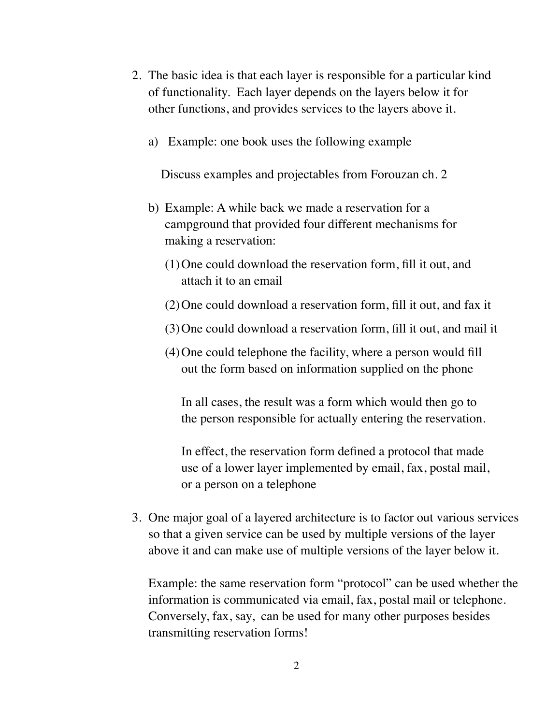- 2. The basic idea is that each layer is responsible for a particular kind of functionality. Each layer depends on the layers below it for other functions, and provides services to the layers above it.
	- a) Example: one book uses the following example

 Discuss examples and projectables from Forouzan ch. 2

- b) Example: A while back we made a reservation for a campground that provided four different mechanisms for making a reservation:
	- (1)One could download the reservation form, fill it out, and attach it to an email
	- (2)One could download a reservation form, fill it out, and fax it
	- (3)One could download a reservation form, fill it out, and mail it
	- (4)One could telephone the facility, where a person would fill out the form based on information supplied on the phone

In all cases, the result was a form which would then go to the person responsible for actually entering the reservation.

In effect, the reservation form defined a protocol that made use of a lower layer implemented by email, fax, postal mail, or a person on a telephone

3. One major goal of a layered architecture is to factor out various services so that a given service can be used by multiple versions of the layer above it and can make use of multiple versions of the layer below it.

Example: the same reservation form "protocol" can be used whether the information is communicated via email, fax, postal mail or telephone. Conversely, fax, say, can be used for many other purposes besides transmitting reservation forms!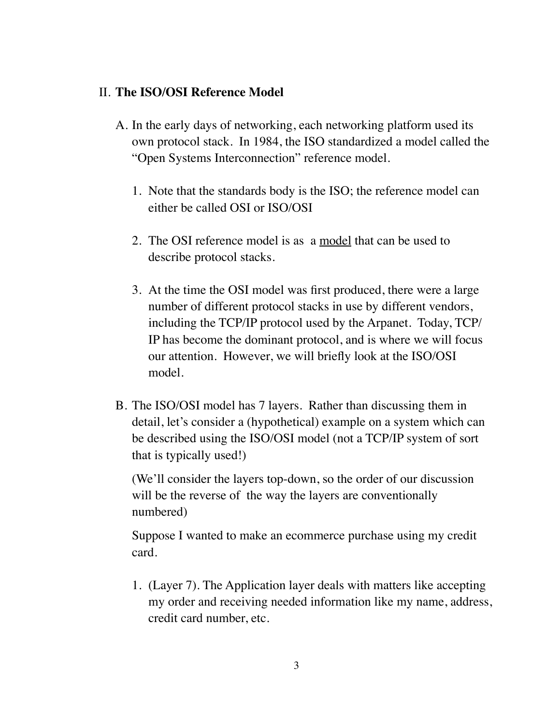#### II. **The ISO/OSI Reference Model**

- A. In the early days of networking, each networking platform used its own protocol stack. In 1984, the ISO standardized a model called the "Open Systems Interconnection" reference model.
	- 1. Note that the standards body is the ISO; the reference model can either be called OSI or ISO/OSI
	- 2. The OSI reference model is as a model that can be used to describe protocol stacks.
	- 3. At the time the OSI model was first produced, there were a large number of different protocol stacks in use by different vendors, including the TCP/IP protocol used by the Arpanet. Today, TCP/ IP has become the dominant protocol, and is where we will focus our attention. However, we will briefly look at the ISO/OSI model.
- B. The ISO/OSI model has 7 layers. Rather than discussing them in detail, let's consider a (hypothetical) example on a system which can be described using the ISO/OSI model (not a TCP/IP system of sort that is typically used!)

(We'll consider the layers top-down, so the order of our discussion will be the reverse of the way the layers are conventionally numbered)

Suppose I wanted to make an ecommerce purchase using my credit card.

1. (Layer 7). The Application layer deals with matters like accepting my order and receiving needed information like my name, address, credit card number, etc.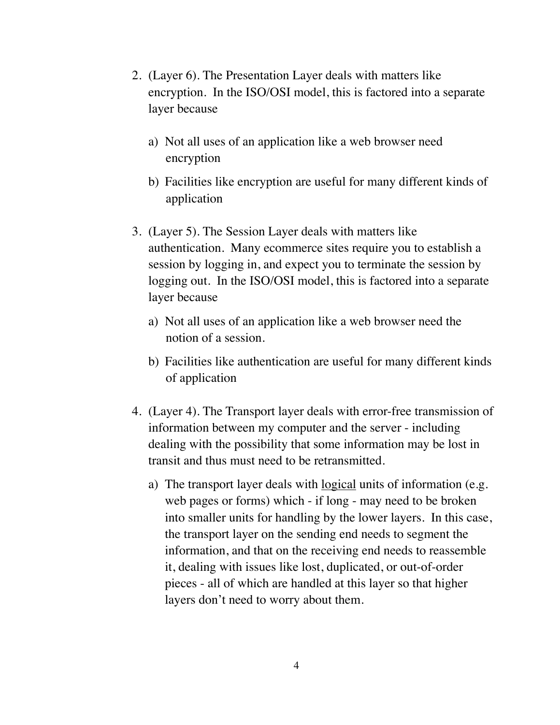- 2. (Layer 6). The Presentation Layer deals with matters like encryption. In the ISO/OSI model, this is factored into a separate layer because
	- a) Not all uses of an application like a web browser need encryption
	- b) Facilities like encryption are useful for many different kinds of application
- 3. (Layer 5). The Session Layer deals with matters like authentication. Many ecommerce sites require you to establish a session by logging in, and expect you to terminate the session by logging out. In the ISO/OSI model, this is factored into a separate layer because
	- a) Not all uses of an application like a web browser need the notion of a session.
	- b) Facilities like authentication are useful for many different kinds of application
- 4. (Layer 4). The Transport layer deals with error-free transmission of information between my computer and the server - including dealing with the possibility that some information may be lost in transit and thus must need to be retransmitted.
	- a) The transport layer deals with <u>logical</u> units of information (e.g. web pages or forms) which - if long - may need to be broken into smaller units for handling by the lower layers. In this case, the transport layer on the sending end needs to segment the information, and that on the receiving end needs to reassemble it, dealing with issues like lost, duplicated, or out-of-order pieces - all of which are handled at this layer so that higher layers don't need to worry about them.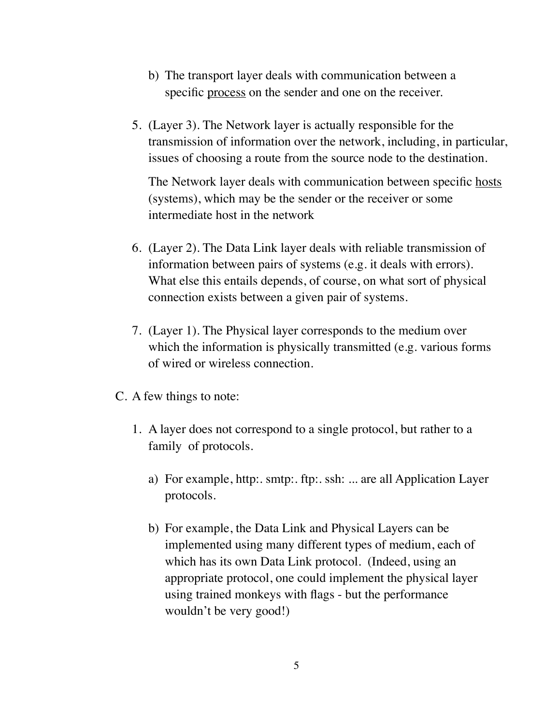- b) The transport layer deals with communication between a specific process on the sender and one on the receiver.
- 5. (Layer 3). The Network layer is actually responsible for the transmission of information over the network, including, in particular, issues of choosing a route from the source node to the destination.

The Network layer deals with communication between specific hosts (systems), which may be the sender or the receiver or some intermediate host in the network

- 6. (Layer 2). The Data Link layer deals with reliable transmission of information between pairs of systems (e.g. it deals with errors). What else this entails depends, of course, on what sort of physical connection exists between a given pair of systems.
- 7. (Layer 1). The Physical layer corresponds to the medium over which the information is physically transmitted (e.g. various forms of wired or wireless connection.
- C. A few things to note:
	- 1. A layer does not correspond to a single protocol, but rather to a family of protocols.
		- a) For example, http:. smtp:. ftp:. ssh: ... are all Application Layer protocols.
		- b) For example, the Data Link and Physical Layers can be implemented using many different types of medium, each of which has its own Data Link protocol. (Indeed, using an appropriate protocol, one could implement the physical layer using trained monkeys with flags - but the performance wouldn't be very good!)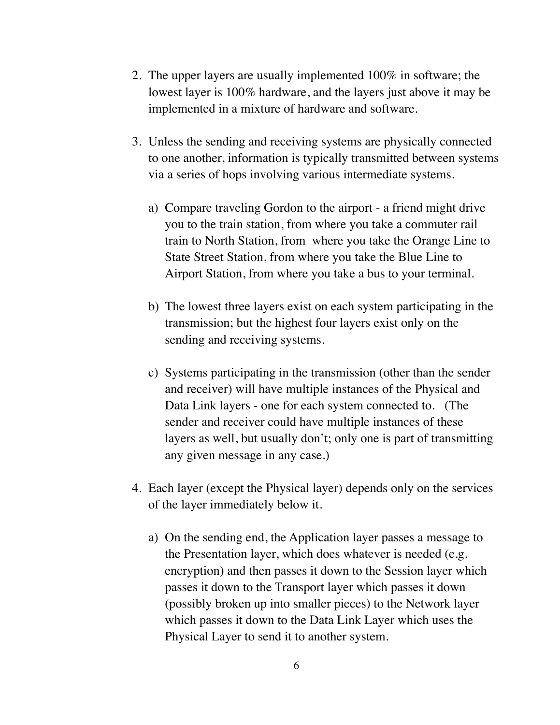- 2. The upper layers are usually implemented 100% in software; the lowest layer is 100% hardware, and the layers just above it may be implemented in a mixture of hardware and software.
- 3. Unless the sending and receiving systems are physically connected to one another, information is typically transmitted between systems via a series of hops involving various intermediate systems.
	- a) Compare traveling Gordon to the airport a friend might drive you to the train station, from where you take a commuter rail train to North Station, from where you take the Orange Line to State Street Station, from where you take the Blue Line to Airport Station, from where you take a bus to your terminal.
	- b) The lowest three layers exist on each system participating in the transmission; but the highest four layers exist only on the sending and receiving systems.
	- c) Systems participating in the transmission (other than the sender and receiver) will have multiple instances of the Physical and Data Link layers - one for each system connected to. (The sender and receiver could have multiple instances of these layers as well, but usually don't; only one is part of transmitting any given message in any case.)
- 4. Each layer (except the Physical layer) depends only on the services of the layer immediately below it.
	- a) On the sending end, the Application layer passes a message to the Presentation layer, which does whatever is needed (e.g. encryption) and then passes it down to the Session layer which passes it down to the Transport layer which passes it down (possibly broken up into smaller pieces) to the Network layer which passes it down to the Data Link Layer which uses the Physical Layer to send it to another system.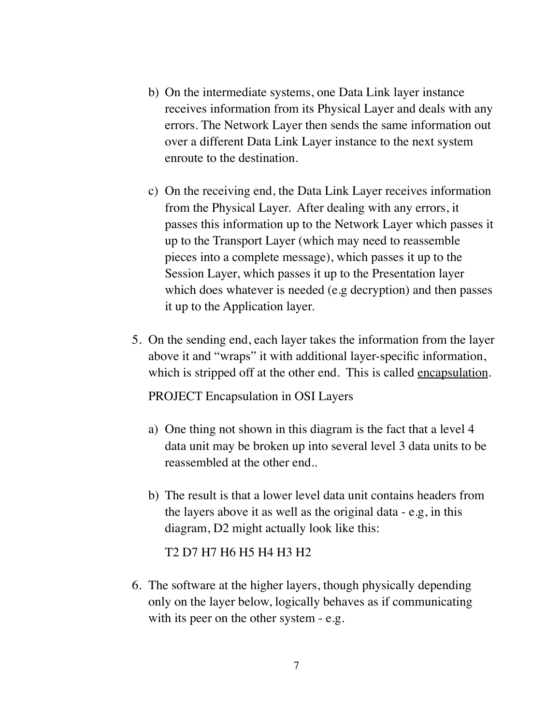- b) On the intermediate systems, one Data Link layer instance receives information from its Physical Layer and deals with any errors. The Network Layer then sends the same information out over a different Data Link Layer instance to the next system enroute to the destination.
- c) On the receiving end, the Data Link Layer receives information from the Physical Layer. After dealing with any errors, it passes this information up to the Network Layer which passes it up to the Transport Layer (which may need to reassemble pieces into a complete message), which passes it up to the Session Layer, which passes it up to the Presentation layer which does whatever is needed (e.g decryption) and then passes it up to the Application layer.
- 5. On the sending end, each layer takes the information from the layer above it and "wraps" it with additional layer-specific information, which is stripped off at the other end. This is called <u>encapsulation</u>.

PROJECT Encapsulation in OSI Layers

- a) One thing not shown in this diagram is the fact that a level 4 data unit may be broken up into several level 3 data units to be reassembled at the other end..
- b) The result is that a lower level data unit contains headers from the layers above it as well as the original data - e.g, in this diagram, D2 might actually look like this:

T2 D7 H7 H6 H5 H4 H3 H2

6. The software at the higher layers, though physically depending only on the layer below, logically behaves as if communicating with its peer on the other system - e.g.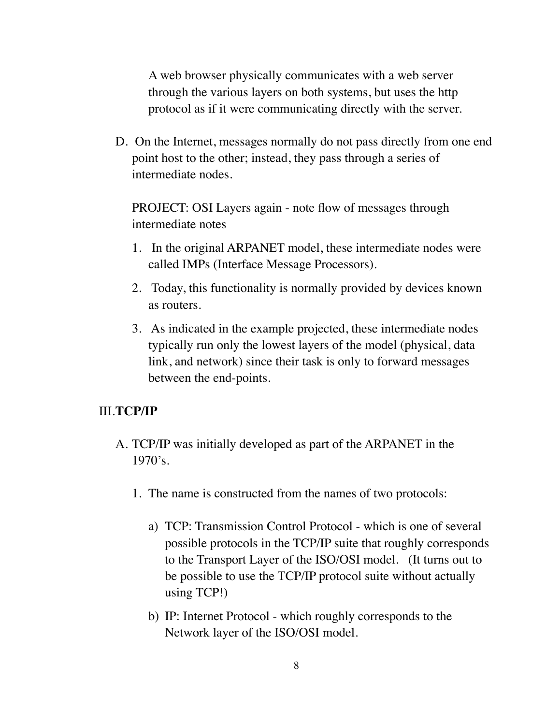A web browser physically communicates with a web server through the various layers on both systems, but uses the http protocol as if it were communicating directly with the server.

D. On the Internet, messages normally do not pass directly from one end point host to the other; instead, they pass through a series of intermediate nodes.

PROJECT: OSI Layers again - note flow of messages through intermediate notes

- 1. In the original ARPANET model, these intermediate nodes were called IMPs (Interface Message Processors).
- 2. Today, this functionality is normally provided by devices known as routers.
- 3. As indicated in the example projected, these intermediate nodes typically run only the lowest layers of the model (physical, data link, and network) since their task is only to forward messages between the end-points.

#### III.**TCP/IP**

- A. TCP/IP was initially developed as part of the ARPANET in the 1970's.
	- 1. The name is constructed from the names of two protocols:
		- a) TCP: Transmission Control Protocol which is one of several possible protocols in the TCP/IP suite that roughly corresponds to the Transport Layer of the ISO/OSI model. (It turns out to be possible to use the TCP/IP protocol suite without actually using TCP!)
		- b) IP: Internet Protocol which roughly corresponds to the Network layer of the ISO/OSI model.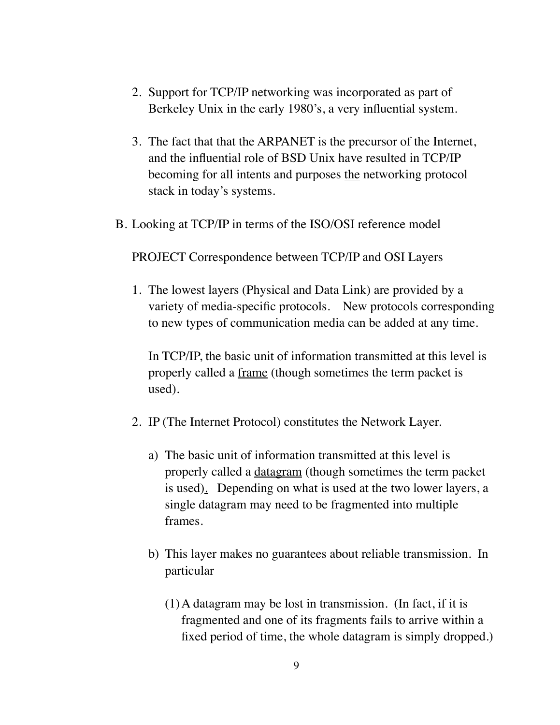- 2. Support for TCP/IP networking was incorporated as part of Berkeley Unix in the early 1980's, a very influential system.
- 3. The fact that that the ARPANET is the precursor of the Internet, and the influential role of BSD Unix have resulted in TCP/IP becoming for all intents and purposes the networking protocol stack in today's systems.
- B. Looking at TCP/IP in terms of the ISO/OSI reference model

PROJECT Correspondence between TCP/IP and OSI Layers

1. The lowest layers (Physical and Data Link) are provided by a variety of media-specific protocols. New protocols corresponding to new types of communication media can be added at any time.

In TCP/IP, the basic unit of information transmitted at this level is properly called a frame (though sometimes the term packet is used).

- 2. IP (The Internet Protocol) constitutes the Network Layer.
	- a) The basic unit of information transmitted at this level is properly called a datagram (though sometimes the term packet is used). Depending on what is used at the two lower layers, a single datagram may need to be fragmented into multiple frames.
	- b) This layer makes no guarantees about reliable transmission. In particular
		- (1)A datagram may be lost in transmission. (In fact, if it is fragmented and one of its fragments fails to arrive within a fixed period of time, the whole datagram is simply dropped.)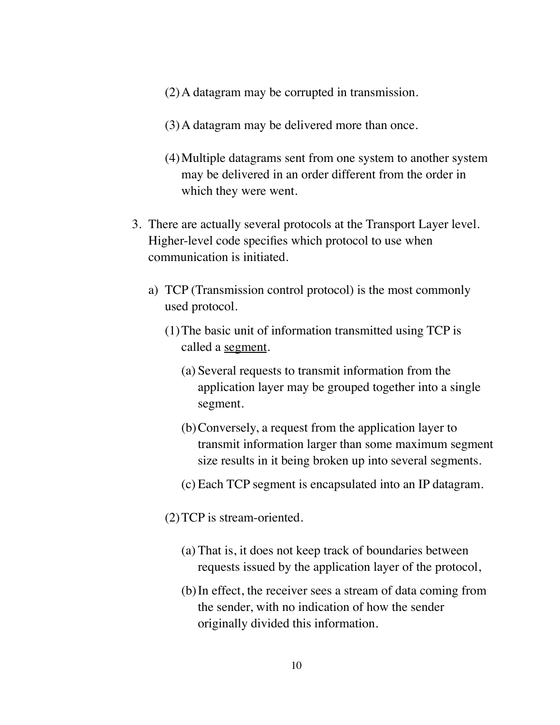- (2)A datagram may be corrupted in transmission.
- (3)A datagram may be delivered more than once.
- (4)Multiple datagrams sent from one system to another system may be delivered in an order different from the order in which they were went.
- 3. There are actually several protocols at the Transport Layer level. Higher-level code specifies which protocol to use when communication is initiated.
	- a) TCP (Transmission control protocol) is the most commonly used protocol.
		- (1)The basic unit of information transmitted using TCP is called a segment.
			- (a) Several requests to transmit information from the application layer may be grouped together into a single segment.
			- (b)Conversely, a request from the application layer to transmit information larger than some maximum segment size results in it being broken up into several segments.
			- (c) Each TCP segment is encapsulated into an IP datagram.
		- (2)TCP is stream-oriented.
			- (a) That is, it does not keep track of boundaries between requests issued by the application layer of the protocol,
			- (b)In effect, the receiver sees a stream of data coming from the sender, with no indication of how the sender originally divided this information.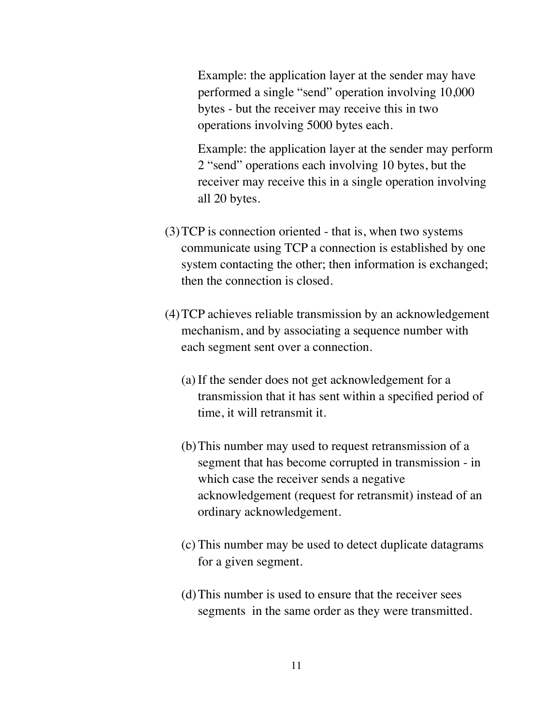Example: the application layer at the sender may have performed a single "send" operation involving 10,000 bytes - but the receiver may receive this in two operations involving 5000 bytes each.

Example: the application layer at the sender may perform 2 "send" operations each involving 10 bytes, but the receiver may receive this in a single operation involving all 20 bytes.

- (3)TCP is connection oriented that is, when two systems communicate using TCP a connection is established by one system contacting the other; then information is exchanged; then the connection is closed.
- (4)TCP achieves reliable transmission by an acknowledgement mechanism, and by associating a sequence number with each segment sent over a connection.
	- (a) If the sender does not get acknowledgement for a transmission that it has sent within a specified period of time, it will retransmit it.
	- (b)This number may used to request retransmission of a segment that has become corrupted in transmission - in which case the receiver sends a negative acknowledgement (request for retransmit) instead of an ordinary acknowledgement.
	- (c) This number may be used to detect duplicate datagrams for a given segment.
	- (d)This number is used to ensure that the receiver sees segments in the same order as they were transmitted.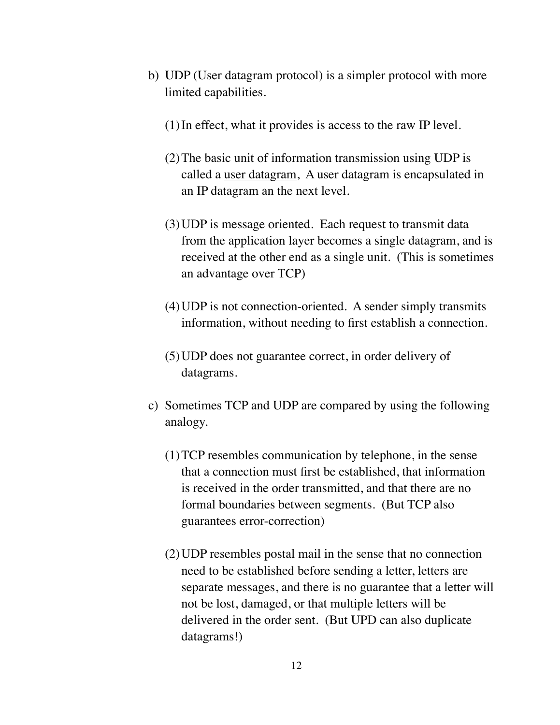- b) UDP (User datagram protocol) is a simpler protocol with more limited capabilities.
	- (1)In effect, what it provides is access to the raw IP level.
	- (2)The basic unit of information transmission using UDP is called a user datagram, A user datagram is encapsulated in an IP datagram an the next level.
	- (3)UDP is message oriented. Each request to transmit data from the application layer becomes a single datagram, and is received at the other end as a single unit. (This is sometimes an advantage over TCP)
	- (4)UDP is not connection-oriented. A sender simply transmits information, without needing to first establish a connection.
	- (5)UDP does not guarantee correct, in order delivery of datagrams.
- c) Sometimes TCP and UDP are compared by using the following analogy.
	- (1)TCP resembles communication by telephone, in the sense that a connection must first be established, that information is received in the order transmitted, and that there are no formal boundaries between segments. (But TCP also guarantees error-correction)
	- (2)UDP resembles postal mail in the sense that no connection need to be established before sending a letter, letters are separate messages, and there is no guarantee that a letter will not be lost, damaged, or that multiple letters will be delivered in the order sent. (But UPD can also duplicate datagrams!)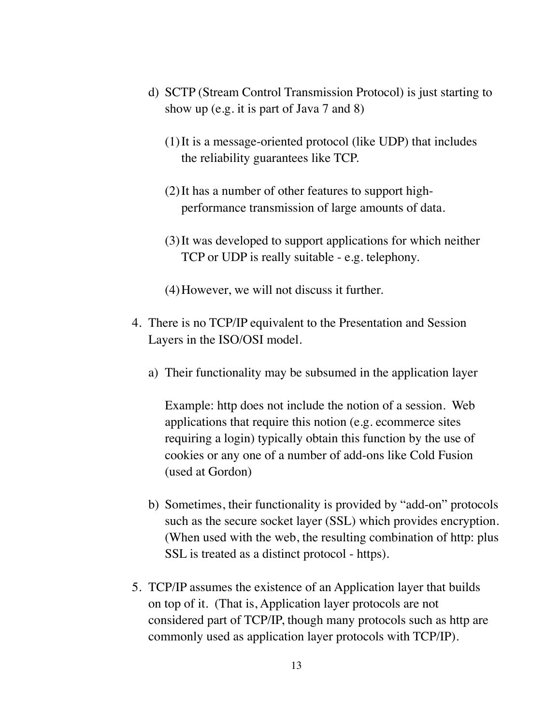- d) SCTP (Stream Control Transmission Protocol) is just starting to show up (e.g. it is part of Java 7 and 8)
	- (1)It is a message-oriented protocol (like UDP) that includes the reliability guarantees like TCP.
	- (2)It has a number of other features to support highperformance transmission of large amounts of data.
	- (3)It was developed to support applications for which neither TCP or UDP is really suitable - e.g. telephony.
	- (4)However, we will not discuss it further.
- 4. There is no TCP/IP equivalent to the Presentation and Session Layers in the ISO/OSI model.
	- a) Their functionality may be subsumed in the application layer

Example: http does not include the notion of a session. Web applications that require this notion (e.g. ecommerce sites requiring a login) typically obtain this function by the use of cookies or any one of a number of add-ons like Cold Fusion (used at Gordon)

- b) Sometimes, their functionality is provided by "add-on" protocols such as the secure socket layer (SSL) which provides encryption. (When used with the web, the resulting combination of http: plus SSL is treated as a distinct protocol - https).
- 5. TCP/IP assumes the existence of an Application layer that builds on top of it. (That is, Application layer protocols are not considered part of TCP/IP, though many protocols such as http are commonly used as application layer protocols with TCP/IP).